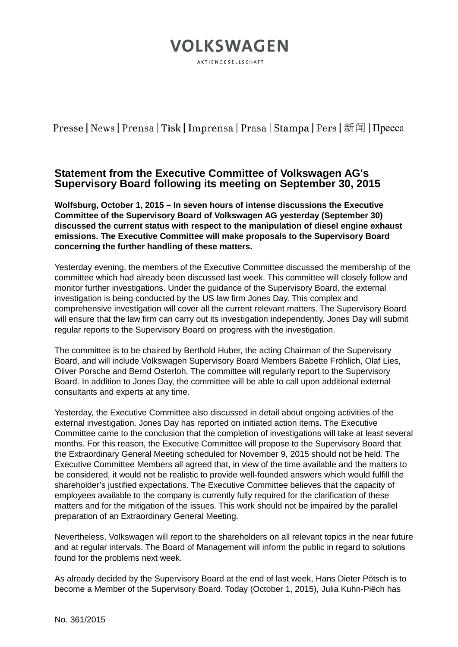## **VOLKSWAGEN** AKTIENGESELLSCHAFT

Presse | News | Prensa | Tisk | Imprensa | Prasa | Stampa | Pers | 新闻 | Пресса

### **Statement from the Executive Committee of Volkswagen AG's Supervisory Board following its meeting on September 30, 2015**

**Wolfsburg, October 1, 2015 – In seven hours of intense discussions the Executive Committee of the Supervisory Board of Volkswagen AG yesterday (September 30) discussed the current status with respect to the manipulation of diesel engine exhaust emissions. The Executive Committee will make proposals to the Supervisory Board concerning the further handling of these matters.**

Yesterday evening, the members of the Executive Committee discussed the membership of the committee which had already been discussed last week. This committee will closely follow and monitor further investigations. Under the guidance of the Supervisory Board, the external investigation is being conducted by the US law firm Jones Day. This complex and comprehensive investigation will cover all the current relevant matters. The Supervisory Board will ensure that the law firm can carry out its investigation independently. Jones Day will submit regular reports to the Supervisory Board on progress with the investigation.

The committee is to be chaired by Berthold Huber, the acting Chairman of the Supervisory Board, and will include Volkswagen Supervisory Board Members Babette Fröhlich, Olaf Lies, Oliver Porsche and Bernd Osterloh. The committee will regularly report to the Supervisory Board. In addition to Jones Day, the committee will be able to call upon additional external consultants and experts at any time.

Yesterday, the Executive Committee also discussed in detail about ongoing activities of the external investigation. Jones Day has reported on initiated action items. The Executive Committee came to the conclusion that the completion of investigations will take at least several months. For this reason, the Executive Committee will propose to the Supervisory Board that the Extraordinary General Meeting scheduled for November 9, 2015 should not be held. The Executive Committee Members all agreed that, in view of the time available and the matters to be considered, it would not be realistic to provide well-founded answers which would fulfill the shareholder's justified expectations. The Executive Committee believes that the capacity of employees available to the company is currently fully required for the clarification of these matters and for the mitigation of the issues. This work should not be impaired by the parallel preparation of an Extraordinary General Meeting.

Nevertheless, Volkswagen will report to the shareholders on all relevant topics in the near future and at regular intervals. The Board of Management will inform the public in regard to solutions found for the problems next week.

As already decided by the Supervisory Board at the end of last week, Hans Dieter Pötsch is to become a Member of the Supervisory Board. Today (October 1, 2015), Julia Kuhn-Piëch has